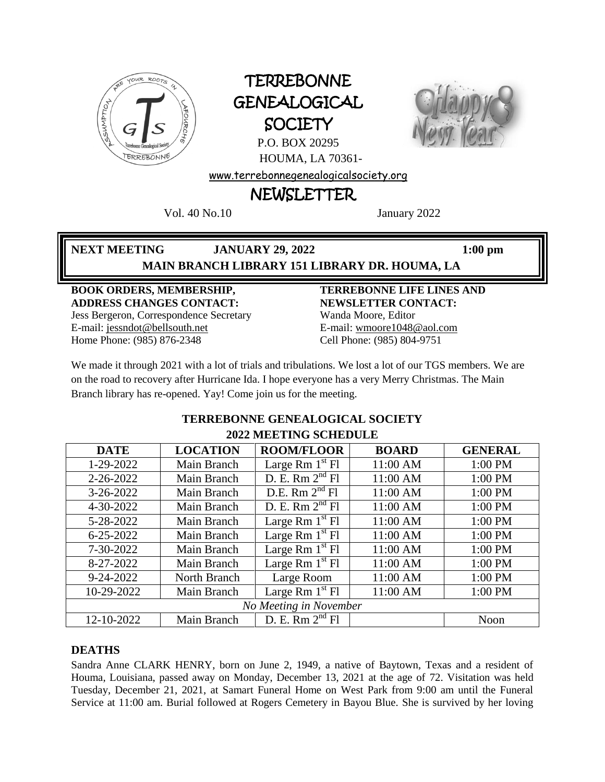

# **TERREBONNE** GENEALOGICAL **SOCIETY**



P.O. BOX 20295 HOUMA, LA 70361-

[www.terrebonnegenealogicalsociety.org](http://www.terrebonnegenealogicalsociety.org/)

## NEWSLETTER

Vol. 40 No.10 January 2022

**NEXT MEETING JANUARY 29, 2022 1:00 pm**

## **MAIN BRANCH LIBRARY 151 LIBRARY DR. HOUMA, LA**

#### **BOOK ORDERS, MEMBERSHIP, ADDRESS CHANGES CONTACT:** Jess Bergeron, Correspondence Secretary E-mail: jess[ndot@bellsouth.net](mailto:dot@bellsouth.net)

Home Phone: (985) 876-2348

#### **TERREBONNE LIFE LINES AND NEWSLETTER CONTACT:** Wanda Moore, Editor E-mail[: wmoore1048@aol.com](mailto:wmoore1048@aol.com) Cell Phone: (985) 804-9751

We made it through 2021 with a lot of trials and tribulations. We lost a lot of our TGS members. We are on the road to recovery after Hurricane Ida. I hope everyone has a very Merry Christmas. The Main Branch library has re-opened. Yay! Come join us for the meeting.

| 4944 меренци эсперсер  |                 |                                 |              |                |  |  |
|------------------------|-----------------|---------------------------------|--------------|----------------|--|--|
| <b>DATE</b>            | <b>LOCATION</b> | <b>ROOM/FLOOR</b>               | <b>BOARD</b> | <b>GENERAL</b> |  |  |
| 1-29-2022              | Main Branch     | Large Rm $1st$ Fl               | 11:00 AM     | 1:00 PM        |  |  |
| 2-26-2022              | Main Branch     | D. E. Rm $2nd$ Fl               | 11:00 AM     | 1:00 PM        |  |  |
| $3-26-2022$            | Main Branch     | D.E. Rm $2nd$ Fl                | 11:00 AM     | 1:00 PM        |  |  |
| 4-30-2022              | Main Branch     | D. E. Rm $2nd$ Fl               | 11:00 AM     | 1:00 PM        |  |  |
| 5-28-2022              | Main Branch     | Large Rm $1st$ Fl               | 11:00 AM     | 1:00 PM        |  |  |
| $6 - 25 - 2022$        | Main Branch     | Large Rm $1st$ Fl               | 11:00 AM     | 1:00 PM        |  |  |
| 7-30-2022              | Main Branch     | Large Rm $1st$ Fl               | 11:00 AM     | 1:00 PM        |  |  |
| 8-27-2022              | Main Branch     | Large Rm $1^{\overline{st}}$ Fl | 11:00 AM     | 1:00 PM        |  |  |
| 9-24-2022              | North Branch    | Large Room                      | 11:00 AM     | 1:00 PM        |  |  |
| 10-29-2022             | Main Branch     | Large Rm $1st$ Fl               | 11:00 AM     | 1:00 PM        |  |  |
| No Meeting in November |                 |                                 |              |                |  |  |
| 12-10-2022             | Main Branch     | D. E. Rm $2nd$ Fl               |              | Noon           |  |  |

#### **TERREBONNE GENEALOGICAL SOCIETY 2022 MEETING SCHEDULE**

#### **DEATHS**

Sandra Anne CLARK HENRY, born on June 2, 1949, a native of Baytown, Texas and a resident of Houma, Louisiana, passed away on Monday, December 13, 2021 at the age of 72. Visitation was held Tuesday, December 21, 2021, at Samart Funeral Home on West Park from 9:00 am until the Funeral Service at 11:00 am. Burial followed at Rogers Cemetery in Bayou Blue. She is survived by her loving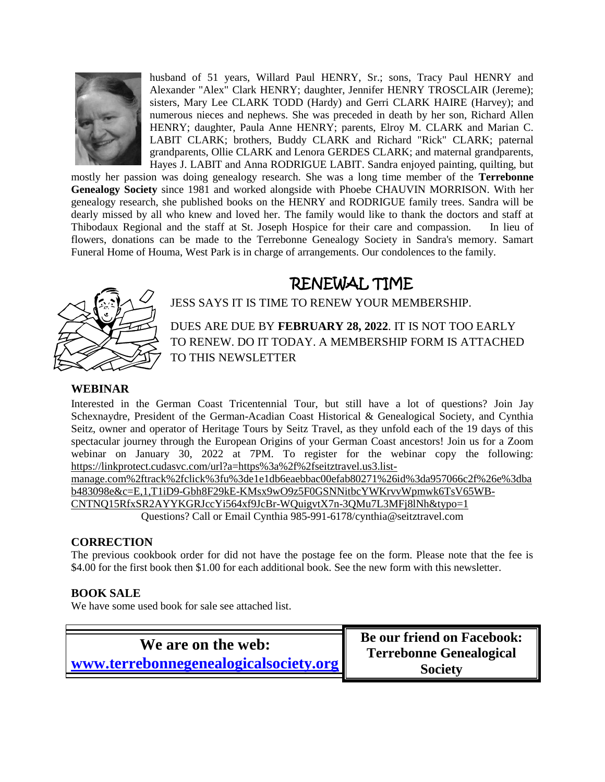

husband of 51 years, Willard Paul HENRY, Sr.; sons, Tracy Paul HENRY and Alexander "Alex" Clark HENRY; daughter, Jennifer HENRY TROSCLAIR (Jereme); sisters, Mary Lee CLARK TODD (Hardy) and Gerri CLARK HAIRE (Harvey); and numerous nieces and nephews. She was preceded in death by her son, Richard Allen HENRY; daughter, Paula Anne HENRY; parents, Elroy M. CLARK and Marian C. LABIT CLARK; brothers, Buddy CLARK and Richard "Rick" CLARK; paternal grandparents, Ollie CLARK and Lenora GERDES CLARK; and maternal grandparents, Hayes J. LABIT and Anna RODRIGUE LABIT. Sandra enjoyed painting, quilting, but

mostly her passion was doing genealogy research. She was a long time member of the **Terrebonne Genealogy Society** since 1981 and worked alongside with Phoebe CHAUVIN MORRISON. With her genealogy research, she published books on the HENRY and RODRIGUE family trees. Sandra will be dearly missed by all who knew and loved her. The family would like to thank the doctors and staff at Thibodaux Regional and the staff at St. Joseph Hospice for their care and compassion. In lieu of flowers, donations can be made to the Terrebonne Genealogy Society in Sandra's memory. Samart Funeral Home of Houma, West Park is in charge of arrangements. Our condolences to the family.

# RENEWAL TIME



JESS SAYS IT IS TIME TO RENEW YOUR MEMBERSHIP.

DUES ARE DUE BY **FEBRUARY 28, 2022**. IT IS NOT TOO EARLY TO RENEW. DO IT TODAY. A MEMBERSHIP FORM IS ATTACHED TO THIS NEWSLETTER

#### **WEBINAR**

Interested in the German Coast Tricentennial Tour, but still have a lot of questions? Join Jay Schexnaydre, President of the German-Acadian Coast Historical & Genealogical Society, and Cynthia Seitz, owner and operator of Heritage Tours by Seitz Travel, as they unfold each of the 19 days of this spectacular journey through the European Origins of your German Coast ancestors! Join us for a Zoom webinar on January 30, 2022 at 7PM. To register for the webinar copy the following: [https://linkprotect.cudasvc.com/url?a=https%3a%2f%2fseitztravel.us3.list-](https://linkprotect.cudasvc.com/url?a=https%3a%2f%2fseitztravel.us3.list-manage.com%2ftrack%2fclick%3fu%3de1e1db6eaebbac00efab80271%26id%3da957066c2f%26e%3dbab483098e&c=E,1,T1iD9-Gbh8F29kE-KMsx9wO9z5F0GSNNitbcYWKrvvWpmwk6TsV65WB-CNTNQ15RfxSR2AYYKGRJccYi564xf9JcBr-WQuigvtX7n-3QMu7L3MFj8lNh&typo=1)

[manage.com%2ftrack%2fclick%3fu%3de1e1db6eaebbac00efab80271%26id%3da957066c2f%26e%3dba](https://linkprotect.cudasvc.com/url?a=https%3a%2f%2fseitztravel.us3.list-manage.com%2ftrack%2fclick%3fu%3de1e1db6eaebbac00efab80271%26id%3da957066c2f%26e%3dbab483098e&c=E,1,T1iD9-Gbh8F29kE-KMsx9wO9z5F0GSNNitbcYWKrvvWpmwk6TsV65WB-CNTNQ15RfxSR2AYYKGRJccYi564xf9JcBr-WQuigvtX7n-3QMu7L3MFj8lNh&typo=1) [b483098e&c=E,1,T1iD9-Gbh8F29kE-KMsx9wO9z5F0GSNNitbcYWKrvvWpmwk6TsV65WB-](https://linkprotect.cudasvc.com/url?a=https%3a%2f%2fseitztravel.us3.list-manage.com%2ftrack%2fclick%3fu%3de1e1db6eaebbac00efab80271%26id%3da957066c2f%26e%3dbab483098e&c=E,1,T1iD9-Gbh8F29kE-KMsx9wO9z5F0GSNNitbcYWKrvvWpmwk6TsV65WB-CNTNQ15RfxSR2AYYKGRJccYi564xf9JcBr-WQuigvtX7n-3QMu7L3MFj8lNh&typo=1)[CNTNQ15RfxSR2AYYKGRJccYi564xf9JcBr-WQuigvtX7n-3QMu7L3MFj8lNh&typo=1](https://linkprotect.cudasvc.com/url?a=https%3a%2f%2fseitztravel.us3.list-manage.com%2ftrack%2fclick%3fu%3de1e1db6eaebbac00efab80271%26id%3da957066c2f%26e%3dbab483098e&c=E,1,T1iD9-Gbh8F29kE-KMsx9wO9z5F0GSNNitbcYWKrvvWpmwk6TsV65WB-CNTNQ15RfxSR2AYYKGRJccYi564xf9JcBr-WQuigvtX7n-3QMu7L3MFj8lNh&typo=1)

Questions? Call or Email Cynthia 985-991-6178[/cynthia@seitztravel.com](mailto:cynthia@seitztravel.com)

#### **CORRECTION**

The previous cookbook order for did not have the postage fee on the form. Please note that the fee is \$4.00 for the first book then \$1.00 for each additional book. See the new form with this newsletter.

#### **BOOK SALE**

We have some used book for sale see attached list.

**We are on the web: [www.terrebonnegenealogicalsociety.org](http://www.terrebonnegenealogicalsociety.org/)** **Be our friend on Facebook: Terrebonne Genealogical Society**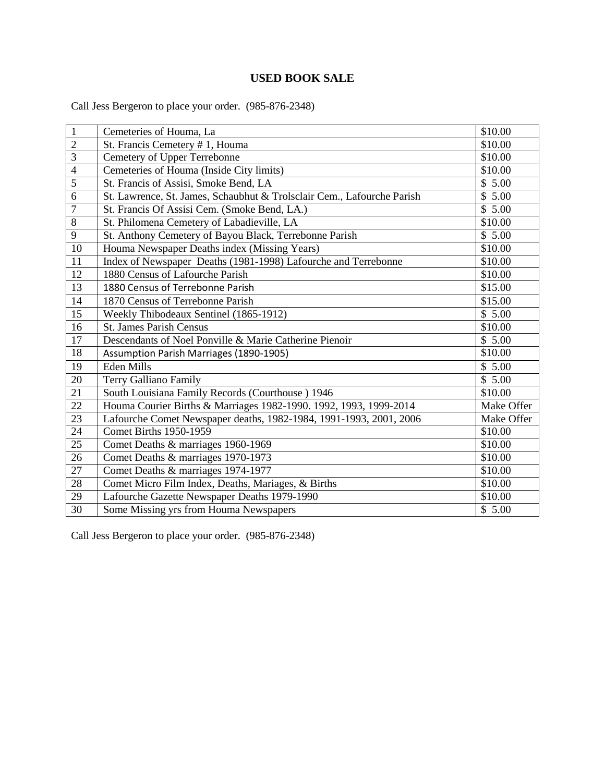#### **USED BOOK SALE**

Call Jess Bergeron to place your order. (985-876-2348)

| $\mathbf{1}$   | Cemeteries of Houma, La                                                | \$10.00    |
|----------------|------------------------------------------------------------------------|------------|
| $\overline{2}$ | St. Francis Cemetery #1, Houma                                         | \$10.00    |
| $\overline{3}$ | Cemetery of Upper Terrebonne                                           | \$10.00    |
| $\overline{4}$ | Cemeteries of Houma (Inside City limits)                               | \$10.00    |
| $\overline{5}$ | St. Francis of Assisi, Smoke Bend, LA                                  | \$5.00     |
| 6              | St. Lawrence, St. James, Schaubhut & Trolsclair Cem., Lafourche Parish | \$5.00     |
| $\overline{7}$ | St. Francis Of Assisi Cem. (Smoke Bend, LA.)                           | \$5.00     |
| 8              | St. Philomena Cemetery of Labadieville, LA                             | \$10.00    |
| 9              | St. Anthony Cemetery of Bayou Black, Terrebonne Parish                 | \$5.00     |
| $10\,$         | Houma Newspaper Deaths index (Missing Years)                           | \$10.00    |
| 11             | Index of Newspaper Deaths (1981-1998) Lafourche and Terrebonne         | \$10.00    |
| 12             | 1880 Census of Lafourche Parish                                        | \$10.00    |
| 13             | 1880 Census of Terrebonne Parish                                       | \$15.00    |
| 14             | 1870 Census of Terrebonne Parish                                       | \$15.00    |
| 15             | Weekly Thibodeaux Sentinel (1865-1912)                                 | \$5.00     |
| 16             | <b>St. James Parish Census</b>                                         | \$10.00    |
| 17             | Descendants of Noel Ponville & Marie Catherine Pienoir                 | \$5.00     |
| 18             | Assumption Parish Marriages (1890-1905)                                | \$10.00    |
| 19             | Eden Mills                                                             | \$5.00     |
| 20             | Terry Galliano Family                                                  | \$5.00     |
| 21             | South Louisiana Family Records (Courthouse) 1946                       | \$10.00    |
| 22             | Houma Courier Births & Marriages 1982-1990. 1992, 1993, 1999-2014      | Make Offer |
| 23             | Lafourche Comet Newspaper deaths, 1982-1984, 1991-1993, 2001, 2006     | Make Offer |
| 24             | <b>Comet Births 1950-1959</b>                                          | \$10.00    |
| 25             | Comet Deaths & marriages 1960-1969                                     | \$10.00    |
| 26             | Comet Deaths & marriages 1970-1973                                     | \$10.00    |
| 27             | Comet Deaths & marriages 1974-1977                                     | \$10.00    |
| 28             | Comet Micro Film Index, Deaths, Mariages, & Births                     | \$10.00    |
| 29             | Lafourche Gazette Newspaper Deaths 1979-1990                           | \$10.00    |
| 30             | Some Missing yrs from Houma Newspapers                                 | \$5.00     |

Call Jess Bergeron to place your order. (985-876-2348)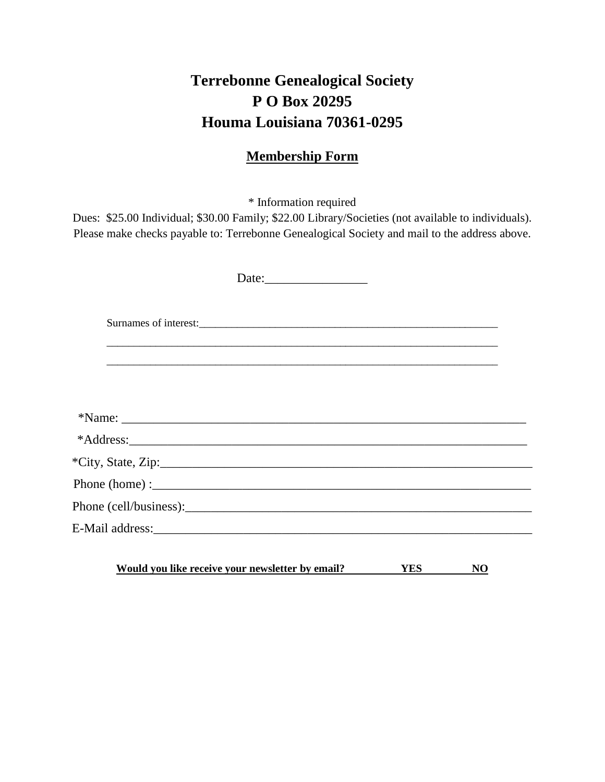## **Terrebonne Genealogical Society P O Box 20295 Houma Louisiana 70361-0295**

### **Membership Form**

\* Information required

Dues: \$25.00 Individual; \$30.00 Family; \$22.00 Library/Societies (not available to individuals). Please make checks payable to: Terrebonne Genealogical Society and mail to the address above.

| Surnames of interest: |  |
|-----------------------|--|
|                       |  |
|                       |  |
|                       |  |
|                       |  |
| $*City, State, Zip:$  |  |
|                       |  |
|                       |  |
|                       |  |
|                       |  |

**Would you like receive your newsletter by email? YES NO**